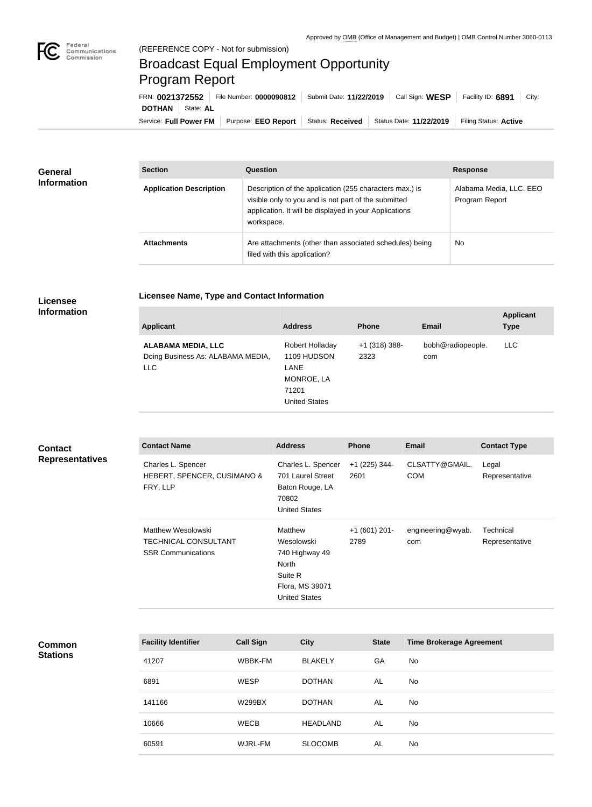

## Broadcast Equal Employment Opportunity Program Report

**Licensee Name, Type and Contact Information**

Service: Full Power FM | Purpose: EEO Report | Status: Received | Status Date: 11/22/2019 | Filing Status: Active **DOTHAN** State: AL FRN: **0021372552** File Number: **0000090812** Submit Date: **11/22/2019** Call Sign: **WESP** Facility ID: **6891** City:

| <b>General</b><br><b>Information</b> | <b>Section</b>                 | <b>Question</b>                                                                                                                                                                         | <b>Response</b>                           |
|--------------------------------------|--------------------------------|-----------------------------------------------------------------------------------------------------------------------------------------------------------------------------------------|-------------------------------------------|
|                                      | <b>Application Description</b> | Description of the application (255 characters max.) is<br>visible only to you and is not part of the submitted<br>application. It will be displayed in your Applications<br>workspace. | Alabama Media, LLC. EEO<br>Program Report |
|                                      | <b>Attachments</b>             | Are attachments (other than associated schedules) being<br>filed with this application?                                                                                                 | <b>No</b>                                 |

## **Licensee Information**

| <b>Applicant</b>                                                             | <b>Address</b>                                                                        | <b>Phone</b>            | <b>Email</b>             | <b>Applicant</b><br><b>Type</b> |
|------------------------------------------------------------------------------|---------------------------------------------------------------------------------------|-------------------------|--------------------------|---------------------------------|
| <b>ALABAMA MEDIA, LLC</b><br>Doing Business As: ALABAMA MEDIA,<br><b>LLC</b> | Robert Holladay<br>1109 HUDSON<br>LANE<br>MONROE, LA<br>71201<br><b>United States</b> | $+1$ (318) 388-<br>2323 | bobh@radiopeople.<br>com | LLC.                            |

## **Contact Representatives**

| <b>Contact Name</b>                                                            | <b>Address</b>                                                                                         | <b>Phone</b>            | <b>Email</b>                 | <b>Contact Type</b>         |
|--------------------------------------------------------------------------------|--------------------------------------------------------------------------------------------------------|-------------------------|------------------------------|-----------------------------|
| Charles L. Spencer<br>HEBERT, SPENCER, CUSIMANO &<br>FRY, LLP                  | Charles L. Spencer<br>701 Laurel Street<br>Baton Rouge, LA<br>70802<br><b>United States</b>            | $+1$ (225) 344-<br>2601 | CLSATTY@GMAIL.<br><b>COM</b> | Legal<br>Representative     |
| Matthew Wesolowski<br><b>TECHNICAL CONSULTANT</b><br><b>SSR Communications</b> | Matthew<br>Wesolowski<br>740 Highway 49<br>North<br>Suite R<br>Flora, MS 39071<br><b>United States</b> | $+1(601)$ 201-<br>2789  | engineering@wyab.<br>com     | Technical<br>Representative |

## **Common Stations**

| <b>Facility Identifier</b> | <b>Call Sign</b> | <b>City</b>     | <b>State</b> | <b>Time Brokerage Agreement</b> |
|----------------------------|------------------|-----------------|--------------|---------------------------------|
| 41207                      | WBBK-FM          | <b>BLAKELY</b>  | GA           | No                              |
| 6891                       | <b>WESP</b>      | <b>DOTHAN</b>   | AL           | No                              |
| 141166                     | <b>W299BX</b>    | <b>DOTHAN</b>   | AL           | No.                             |
| 10666                      | <b>WECB</b>      | <b>HEADLAND</b> | AL           | No.                             |
| 60591                      | WJRL-FM          | <b>SLOCOMB</b>  | AL           | No                              |